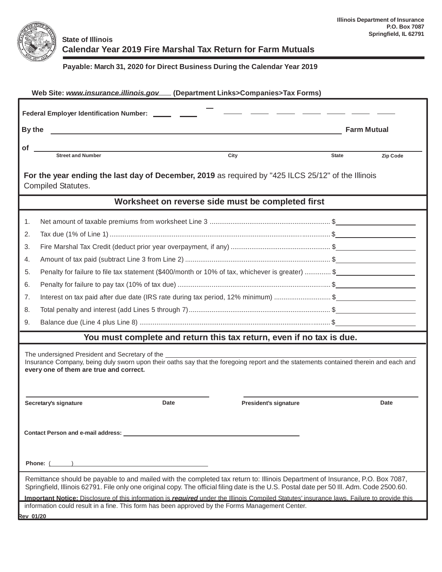

## **State of Illinois Calendar Year 2019 Fire Marshal Tax Return for Farm Mutuals**

## **Payable: March 31, 2020 for Direct Business During the Calendar Year 2019**

| Web Site: www.insurance.illinois.gov (Department Links>Companies>Tax Forms)                                                                                                                                                                                                |                                                                                                 |                              |          |  |  |  |  |  |
|----------------------------------------------------------------------------------------------------------------------------------------------------------------------------------------------------------------------------------------------------------------------------|-------------------------------------------------------------------------------------------------|------------------------------|----------|--|--|--|--|--|
| Federal Employer Identification Number: ______ ___                                                                                                                                                                                                                         |                                                                                                 |                              |          |  |  |  |  |  |
|                                                                                                                                                                                                                                                                            | By the<br><b>Farm Mutual</b>                                                                    |                              |          |  |  |  |  |  |
| οf                                                                                                                                                                                                                                                                         |                                                                                                 |                              |          |  |  |  |  |  |
|                                                                                                                                                                                                                                                                            | <b>Street and Number</b><br>City                                                                | <b>State</b>                 | Zip Code |  |  |  |  |  |
| For the year ending the last day of December, 2019 as required by "425 ILCS 25/12" of the Illinois<br><b>Compiled Statutes.</b>                                                                                                                                            |                                                                                                 |                              |          |  |  |  |  |  |
| Worksheet on reverse side must be completed first                                                                                                                                                                                                                          |                                                                                                 |                              |          |  |  |  |  |  |
| 1.                                                                                                                                                                                                                                                                         |                                                                                                 |                              |          |  |  |  |  |  |
| 2.                                                                                                                                                                                                                                                                         |                                                                                                 |                              |          |  |  |  |  |  |
| 3.                                                                                                                                                                                                                                                                         |                                                                                                 |                              |          |  |  |  |  |  |
| 4.                                                                                                                                                                                                                                                                         |                                                                                                 |                              |          |  |  |  |  |  |
| 5.                                                                                                                                                                                                                                                                         | Penalty for failure to file tax statement (\$400/month or 10% of tax, whichever is greater)  \$ |                              |          |  |  |  |  |  |
| 6.                                                                                                                                                                                                                                                                         |                                                                                                 |                              |          |  |  |  |  |  |
| 7.                                                                                                                                                                                                                                                                         | Interest on tax paid after due date (IRS rate during tax period, 12% minimum) \$                |                              |          |  |  |  |  |  |
| 8.                                                                                                                                                                                                                                                                         |                                                                                                 |                              |          |  |  |  |  |  |
| 9.                                                                                                                                                                                                                                                                         |                                                                                                 |                              |          |  |  |  |  |  |
|                                                                                                                                                                                                                                                                            | You must complete and return this tax return, even if no tax is due.                            |                              |          |  |  |  |  |  |
| The undersigned President and Secretary of the<br>Insurance Company, being duly sworn upon their oaths say that the foregoing report and the statements contained therein and each and<br>every one of them are true and correct.                                          |                                                                                                 |                              |          |  |  |  |  |  |
|                                                                                                                                                                                                                                                                            | Date<br>Secretary's signature                                                                   | <b>President's signature</b> | Date     |  |  |  |  |  |
| Contact Person and e-mail address: Universe of the control of the control of the control of the control of the control of the control of the control of the control of the control of the control of the control of the contro                                             |                                                                                                 |                              |          |  |  |  |  |  |
| Phone: $\qquad \qquad$                                                                                                                                                                                                                                                     |                                                                                                 |                              |          |  |  |  |  |  |
| Remittance should be payable to and mailed with the completed tax return to: Illinois Department of Insurance, P.O. Box 7087,<br>Springfield, Illinois 62791. File only one original copy. The official filing date is the U.S. Postal date per 50 III. Adm. Code 2500.60. |                                                                                                 |                              |          |  |  |  |  |  |
| Important Notice: Disclosure of this information is required under the Illinois Compiled Statutes' insurance laws. Failure to provide this<br>information could result in a fine. This form has been approved by the Forms Management Center.                              |                                                                                                 |                              |          |  |  |  |  |  |
| <b>Rev 01/20</b>                                                                                                                                                                                                                                                           |                                                                                                 |                              |          |  |  |  |  |  |
|                                                                                                                                                                                                                                                                            |                                                                                                 |                              |          |  |  |  |  |  |